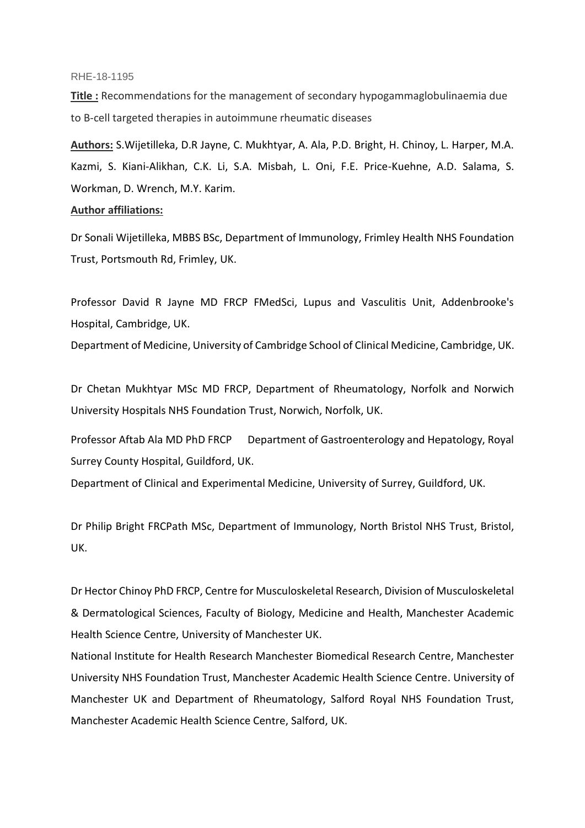#### RHE-18-1195

**Title :** Recommendations for the management of secondary hypogammaglobulinaemia due to B-cell targeted therapies in autoimmune rheumatic diseases

**Authors:** S.Wijetilleka, D.R Jayne, C. Mukhtyar, A. Ala, P.D. Bright, H. Chinoy, L. Harper, M.A. Kazmi, S. Kiani-Alikhan, C.K. Li, S.A. Misbah, L. Oni, F.E. Price-Kuehne, A.D. Salama, S. Workman, D. Wrench, M.Y. Karim.

### **Author affiliations:**

Dr Sonali Wijetilleka, MBBS BSc, Department of Immunology, Frimley Health NHS Foundation Trust, Portsmouth Rd, Frimley, UK.

Professor David R Jayne MD FRCP FMedSci, Lupus and Vasculitis Unit, Addenbrooke's Hospital, Cambridge, UK.

Department of Medicine, University of Cambridge School of Clinical Medicine, Cambridge, UK.

Dr Chetan Mukhtyar MSc MD FRCP, Department of Rheumatology, Norfolk and Norwich University Hospitals NHS Foundation Trust, Norwich, Norfolk, UK.

Professor Aftab Ala MD PhD FRCP Department of Gastroenterology and Hepatology, Royal Surrey County Hospital, Guildford, UK.

Department of Clinical and Experimental Medicine, University of Surrey, Guildford, UK.

Dr Philip Bright FRCPath MSc, Department of Immunology, North Bristol NHS Trust, Bristol, UK.

Dr Hector Chinoy PhD FRCP, Centre for Musculoskeletal Research, Division of Musculoskeletal & Dermatological Sciences, Faculty of Biology, Medicine and Health, Manchester Academic Health Science Centre, University of Manchester UK.

National Institute for Health Research Manchester Biomedical Research Centre, Manchester University NHS Foundation Trust, Manchester Academic Health Science Centre. University of Manchester UK and Department of Rheumatology, Salford Royal NHS Foundation Trust, Manchester Academic Health Science Centre, Salford, UK.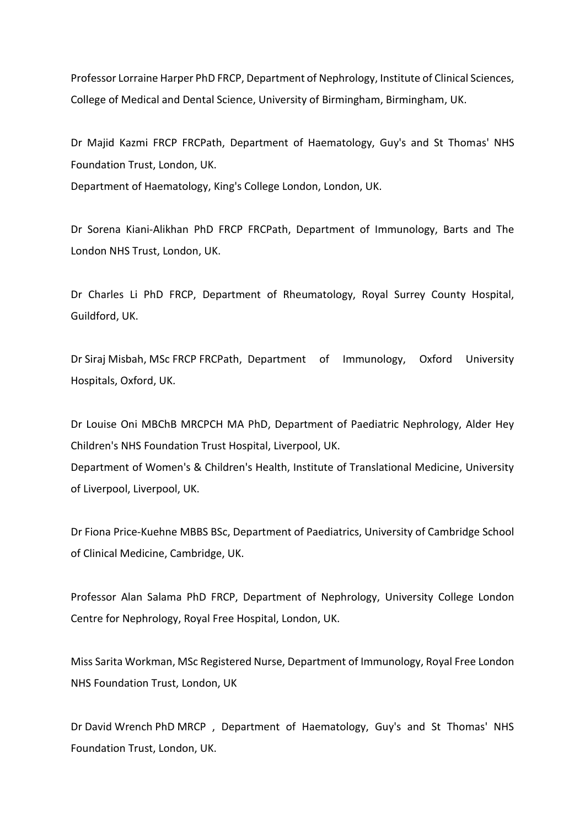Professor Lorraine Harper PhD FRCP, Department of Nephrology, Institute of Clinical Sciences, College of Medical and Dental Science, University of Birmingham, Birmingham, UK.

Dr Majid Kazmi FRCP FRCPath, Department of Haematology, Guy's and St Thomas' NHS Foundation Trust, London, UK.

Department of Haematology, King's College London, London, UK.

Dr Sorena Kiani-Alikhan PhD FRCP FRCPath, Department of Immunology, Barts and The London NHS Trust, London, UK.

Dr Charles Li PhD FRCP, Department of Rheumatology, Royal Surrey County Hospital, Guildford, UK.

Dr Siraj Misbah, MSc FRCP FRCPath, Department of Immunology, Oxford University Hospitals, Oxford, UK.

Dr Louise Oni MBChB MRCPCH MA PhD, Department of Paediatric Nephrology, Alder Hey Children's NHS Foundation Trust Hospital, Liverpool, UK.

Department of Women's & Children's Health, Institute of Translational Medicine, University of Liverpool, Liverpool, UK.

Dr Fiona Price-Kuehne MBBS BSc, Department of Paediatrics, University of Cambridge School of Clinical Medicine, Cambridge, UK.

Professor Alan Salama PhD FRCP, Department of Nephrology, University College London Centre for Nephrology, Royal Free Hospital, London, UK.

Miss Sarita Workman, MSc Registered Nurse, Department of Immunology, Royal Free London NHS Foundation Trust, London, UK

Dr David Wrench PhD MRCP , Department of Haematology, Guy's and St Thomas' NHS Foundation Trust, London, UK.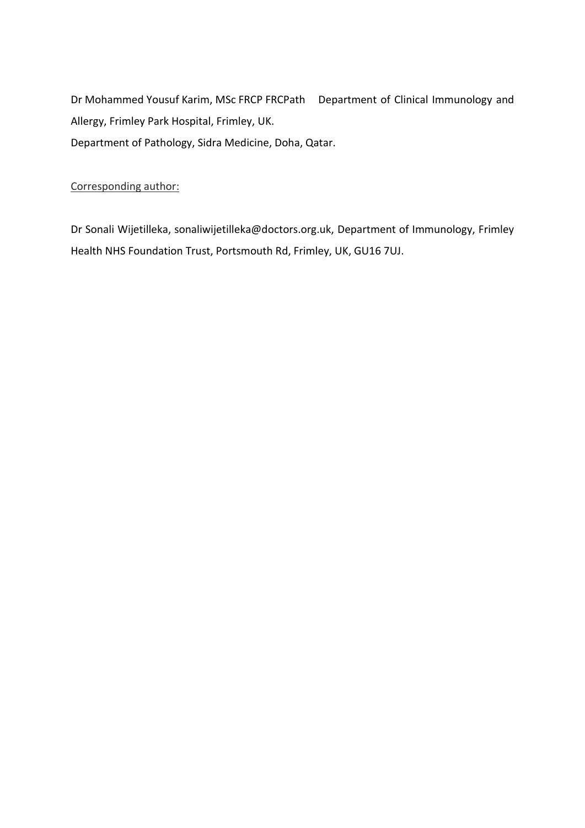Dr Mohammed Yousuf Karim, MSc FRCP FRCPath Department of Clinical Immunology and Allergy, Frimley Park Hospital, Frimley, UK. Department of Pathology, Sidra Medicine, Doha, Qatar.

## Corresponding author:

Dr Sonali Wijetilleka, sonaliwijetilleka@doctors.org.uk, Department of Immunology, Frimley Health NHS Foundation Trust, Portsmouth Rd, Frimley, UK, GU16 7UJ.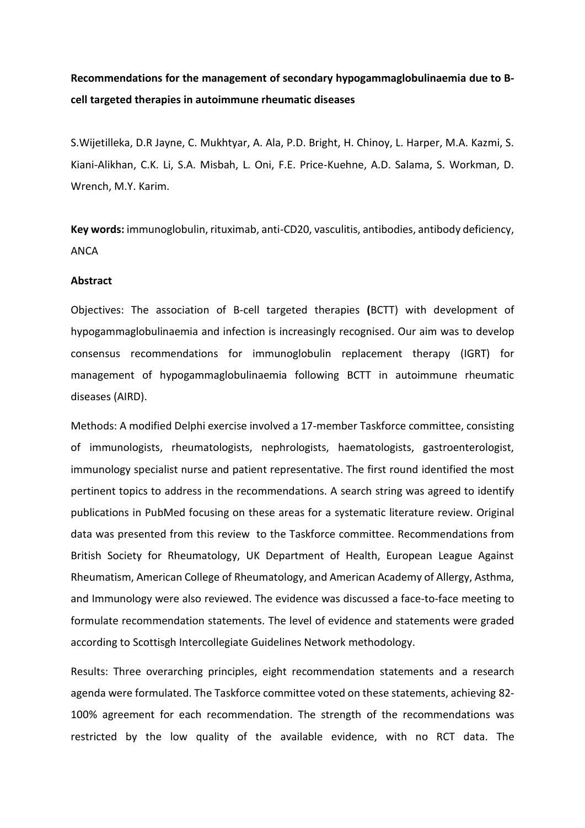# **Recommendations for the management of secondary hypogammaglobulinaemia due to Bcell targeted therapies in autoimmune rheumatic diseases**

S.Wijetilleka, D.R Jayne, C. Mukhtyar, A. Ala, P.D. Bright, H. Chinoy, L. Harper, M.A. Kazmi, S. Kiani-Alikhan, C.K. Li, S.A. Misbah, L. Oni, F.E. Price-Kuehne, A.D. Salama, S. Workman, D. Wrench, M.Y. Karim.

**Key words:** immunoglobulin, rituximab, anti-CD20, vasculitis, antibodies, antibody deficiency, ANCA

#### **Abstract**

Objectives: The association of B-cell targeted therapies **(**BCTT) with development of hypogammaglobulinaemia and infection is increasingly recognised. Our aim was to develop consensus recommendations for immunoglobulin replacement therapy (IGRT) for management of hypogammaglobulinaemia following BCTT in autoimmune rheumatic diseases (AIRD).

Methods: A modified Delphi exercise involved a 17-member Taskforce committee, consisting of immunologists, rheumatologists, nephrologists, haematologists, gastroenterologist, immunology specialist nurse and patient representative. The first round identified the most pertinent topics to address in the recommendations. A search string was agreed to identify publications in PubMed focusing on these areas for a systematic literature review. Original data was presented from this review to the Taskforce committee. Recommendations from British Society for Rheumatology, UK Department of Health, European League Against Rheumatism, American College of Rheumatology, and American Academy of Allergy, Asthma, and Immunology were also reviewed. The evidence was discussed a face-to-face meeting to formulate recommendation statements. The level of evidence and statements were graded according to Scottisgh Intercollegiate Guidelines Network methodology.

Results: Three overarching principles, eight recommendation statements and a research agenda were formulated. The Taskforce committee voted on these statements, achieving 82- 100% agreement for each recommendation. The strength of the recommendations was restricted by the low quality of the available evidence, with no RCT data. The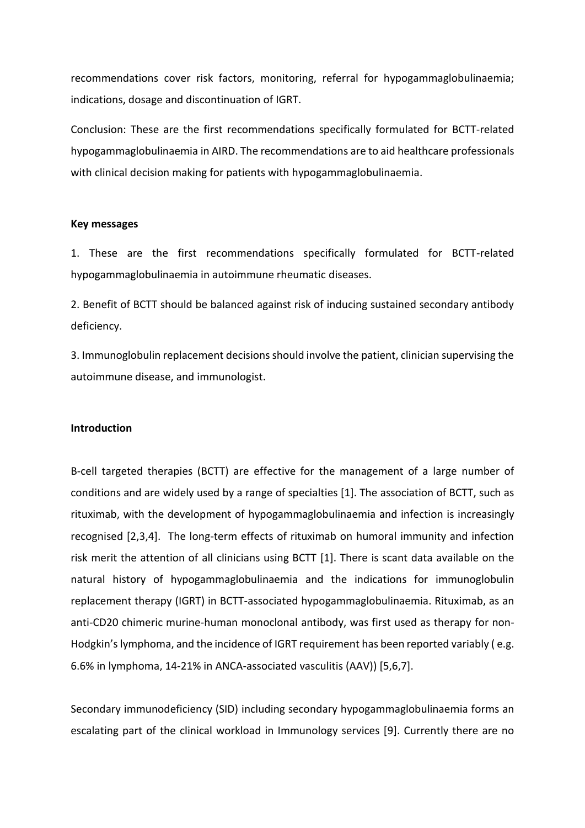recommendations cover risk factors, monitoring, referral for hypogammaglobulinaemia; indications, dosage and discontinuation of IGRT.

Conclusion: These are the first recommendations specifically formulated for BCTT-related hypogammaglobulinaemia in AIRD. The recommendations are to aid healthcare professionals with clinical decision making for patients with hypogammaglobulinaemia.

#### **Key messages**

1. These are the first recommendations specifically formulated for BCTT-related hypogammaglobulinaemia in autoimmune rheumatic diseases.

2. Benefit of BCTT should be balanced against risk of inducing sustained secondary antibody deficiency.

3. Immunoglobulin replacement decisions should involve the patient, clinician supervising the autoimmune disease, and immunologist.

#### **Introduction**

B-cell targeted therapies (BCTT) are effective for the management of a large number of conditions and are widely used by a range of specialties [1]. The association of BCTT, such as rituximab, with the development of hypogammaglobulinaemia and infection is increasingly recognised [2,3,4]. The long-term effects of rituximab on humoral immunity and infection risk merit the attention of all clinicians using BCTT [1]. There is scant data available on the natural history of hypogammaglobulinaemia and the indications for immunoglobulin replacement therapy (IGRT) in BCTT-associated hypogammaglobulinaemia. Rituximab, as an anti-CD20 chimeric murine-human monoclonal antibody, was first used as therapy for non-Hodgkin's lymphoma, and the incidence of IGRT requirement has been reported variably ( e.g. 6.6% in lymphoma, 14-21% in ANCA-associated vasculitis (AAV)) [5,6,7].

Secondary immunodeficiency (SID) including secondary hypogammaglobulinaemia forms an escalating part of the clinical workload in Immunology services [9]. Currently there are no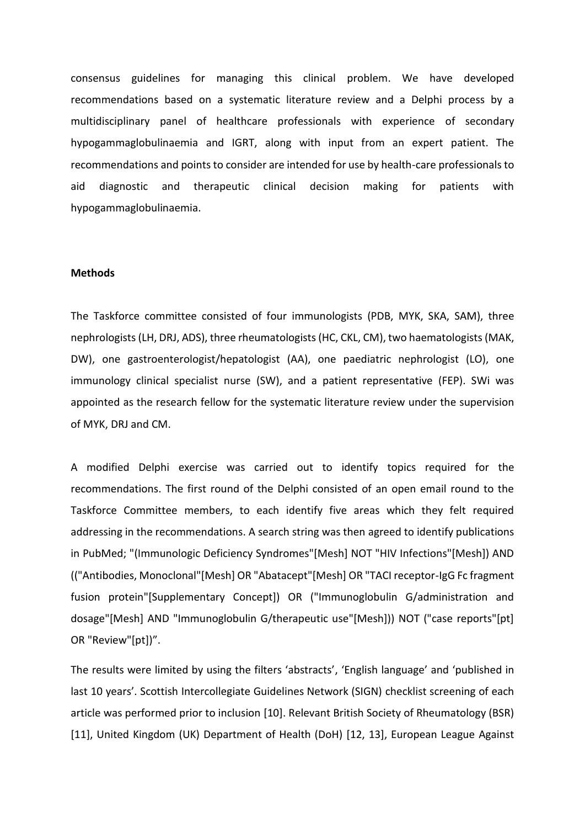consensus guidelines for managing this clinical problem. We have developed recommendations based on a systematic literature review and a Delphi process by a multidisciplinary panel of healthcare professionals with experience of secondary hypogammaglobulinaemia and IGRT, along with input from an expert patient. The recommendations and points to consider are intended for use by health-care professionals to aid diagnostic and therapeutic clinical decision making for patients with hypogammaglobulinaemia.

#### **Methods**

The Taskforce committee consisted of four immunologists (PDB, MYK, SKA, SAM), three nephrologists(LH, DRJ, ADS), three rheumatologists(HC, CKL, CM), two haematologists (MAK, DW), one gastroenterologist/hepatologist (AA), one paediatric nephrologist (LO), one immunology clinical specialist nurse (SW), and a patient representative (FEP). SWi was appointed as the research fellow for the systematic literature review under the supervision of MYK, DRJ and CM.

A modified Delphi exercise was carried out to identify topics required for the recommendations. The first round of the Delphi consisted of an open email round to the Taskforce Committee members, to each identify five areas which they felt required addressing in the recommendations. A search string was then agreed to identify publications in PubMed; "(Immunologic Deficiency Syndromes"[Mesh] NOT "HIV Infections"[Mesh]) AND (("Antibodies, Monoclonal"[Mesh] OR "Abatacept"[Mesh] OR "TACI receptor-IgG Fc fragment fusion protein"[Supplementary Concept]) OR ("Immunoglobulin G/administration and dosage"[Mesh] AND "Immunoglobulin G/therapeutic use"[Mesh])) NOT ("case reports"[pt] OR "Review"[pt])".

The results were limited by using the filters 'abstracts', 'English language' and 'published in last 10 years'. Scottish Intercollegiate Guidelines Network (SIGN) checklist screening of each article was performed prior to inclusion [10]. Relevant British Society of Rheumatology (BSR) [11], United Kingdom (UK) Department of Health (DoH) [12, 13], European League Against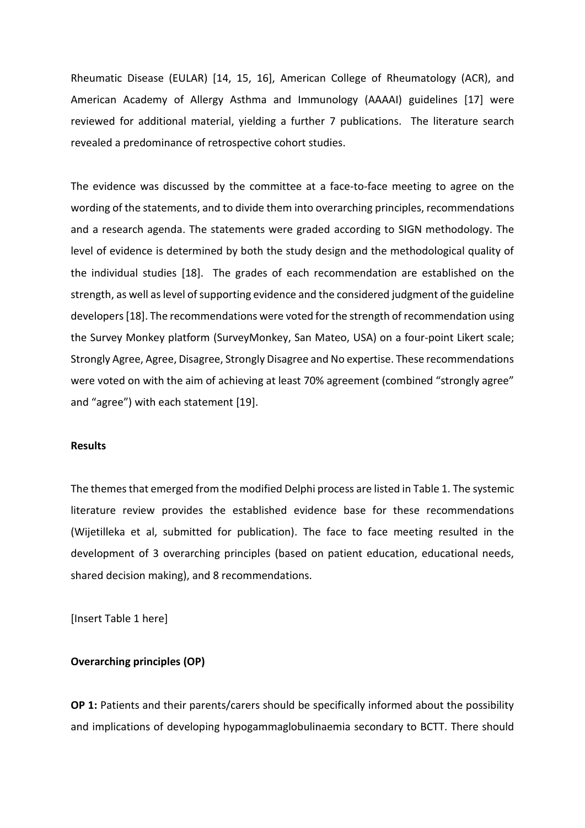Rheumatic Disease (EULAR) [14, 15, 16], American College of Rheumatology (ACR), and American Academy of Allergy Asthma and Immunology (AAAAI) guidelines [17] were reviewed for additional material, yielding a further 7 publications. The literature search revealed a predominance of retrospective cohort studies.

The evidence was discussed by the committee at a face-to-face meeting to agree on the wording of the statements, and to divide them into overarching principles, recommendations and a research agenda. The statements were graded according to SIGN methodology. The level of evidence is determined by both the study design and the methodological quality of the individual studies [18]. The grades of each recommendation are established on the strength, as well as level of supporting evidence and the considered judgment of the guideline developers[18]. The recommendations were voted for the strength of recommendation using the Survey Monkey platform (SurveyMonkey, San Mateo, USA) on a four-point Likert scale; Strongly Agree, Agree, Disagree, Strongly Disagree and No expertise. These recommendations were voted on with the aim of achieving at least 70% agreement (combined "strongly agree" and "agree") with each statement [19].

## **Results**

The themes that emerged from the modified Delphi process are listed in Table 1. The systemic literature review provides the established evidence base for these recommendations (Wijetilleka et al, submitted for publication). The face to face meeting resulted in the development of 3 overarching principles (based on patient education, educational needs, shared decision making), and 8 recommendations.

[Insert Table 1 here]

### **Overarching principles (OP)**

**OP 1:** Patients and their parents/carers should be specifically informed about the possibility and implications of developing hypogammaglobulinaemia secondary to BCTT. There should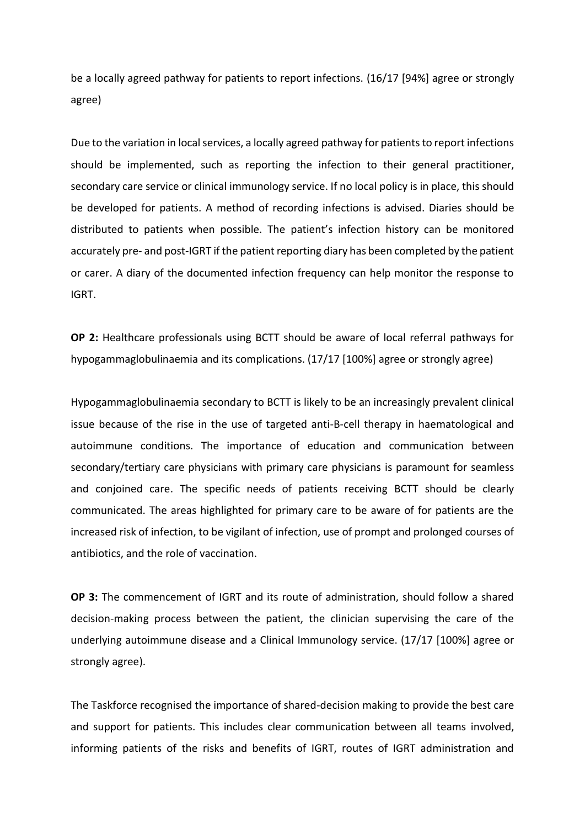be a locally agreed pathway for patients to report infections. (16/17 [94%] agree or strongly agree)

Due to the variation in local services, a locally agreed pathway for patients to report infections should be implemented, such as reporting the infection to their general practitioner, secondary care service or clinical immunology service. If no local policy is in place, this should be developed for patients. A method of recording infections is advised. Diaries should be distributed to patients when possible. The patient's infection history can be monitored accurately pre- and post-IGRT if the patient reporting diary has been completed by the patient or carer. A diary of the documented infection frequency can help monitor the response to IGRT.

**OP 2:** Healthcare professionals using BCTT should be aware of local referral pathways for hypogammaglobulinaemia and its complications. (17/17 [100%] agree or strongly agree)

Hypogammaglobulinaemia secondary to BCTT is likely to be an increasingly prevalent clinical issue because of the rise in the use of targeted anti-B-cell therapy in haematological and autoimmune conditions. The importance of education and communication between secondary/tertiary care physicians with primary care physicians is paramount for seamless and conjoined care. The specific needs of patients receiving BCTT should be clearly communicated. The areas highlighted for primary care to be aware of for patients are the increased risk of infection, to be vigilant of infection, use of prompt and prolonged courses of antibiotics, and the role of vaccination.

**OP 3:** The commencement of IGRT and its route of administration, should follow a shared decision-making process between the patient, the clinician supervising the care of the underlying autoimmune disease and a Clinical Immunology service. (17/17 [100%] agree or strongly agree).

The Taskforce recognised the importance of shared-decision making to provide the best care and support for patients. This includes clear communication between all teams involved, informing patients of the risks and benefits of IGRT, routes of IGRT administration and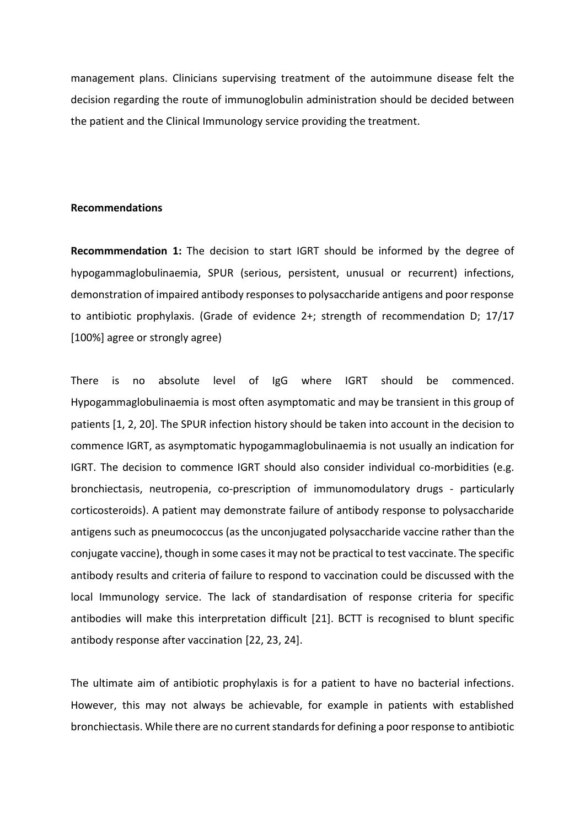management plans. Clinicians supervising treatment of the autoimmune disease felt the decision regarding the route of immunoglobulin administration should be decided between the patient and the Clinical Immunology service providing the treatment.

#### **Recommendations**

**Recommmendation 1:** The decision to start IGRT should be informed by the degree of hypogammaglobulinaemia, SPUR (serious, persistent, unusual or recurrent) infections, demonstration of impaired antibody responses to polysaccharide antigens and poor response to antibiotic prophylaxis. (Grade of evidence 2+; strength of recommendation D; 17/17 [100%] agree or strongly agree)

There is no absolute level of IgG where IGRT should be commenced. Hypogammaglobulinaemia is most often asymptomatic and may be transient in this group of patients [1, 2, 20]. The SPUR infection history should be taken into account in the decision to commence IGRT, as asymptomatic hypogammaglobulinaemia is not usually an indication for IGRT. The decision to commence IGRT should also consider individual co-morbidities (e.g. bronchiectasis, neutropenia, co-prescription of immunomodulatory drugs - particularly corticosteroids). A patient may demonstrate failure of antibody response to polysaccharide antigens such as pneumococcus (as the unconjugated polysaccharide vaccine rather than the conjugate vaccine), though in some cases it may not be practical to test vaccinate. The specific antibody results and criteria of failure to respond to vaccination could be discussed with the local Immunology service. The lack of standardisation of response criteria for specific antibodies will make this interpretation difficult [21]. BCTT is recognised to blunt specific antibody response after vaccination [22, 23, 24].

The ultimate aim of antibiotic prophylaxis is for a patient to have no bacterial infections. However, this may not always be achievable, for example in patients with established bronchiectasis. While there are no current standards for defining a poor response to antibiotic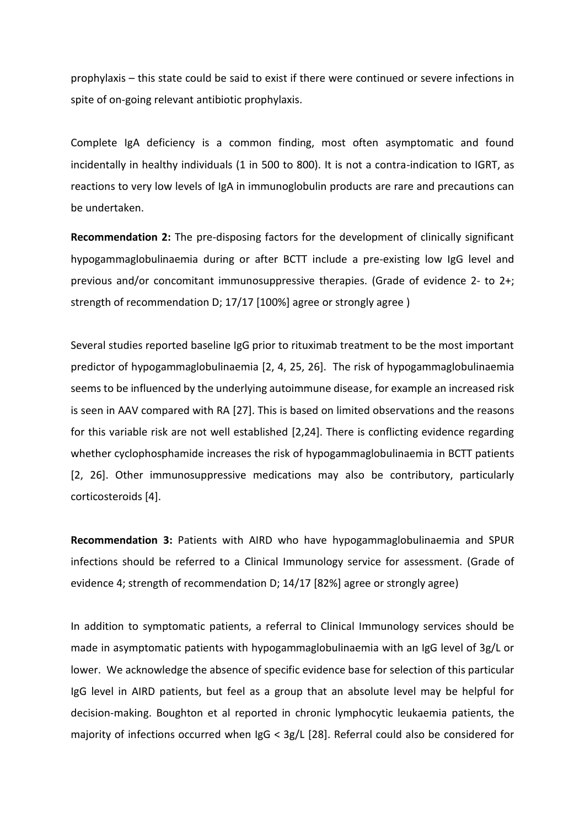prophylaxis – this state could be said to exist if there were continued or severe infections in spite of on-going relevant antibiotic prophylaxis.

Complete IgA deficiency is a common finding, most often asymptomatic and found incidentally in healthy individuals (1 in 500 to 800). It is not a contra-indication to IGRT, as reactions to very low levels of IgA in immunoglobulin products are rare and precautions can be undertaken.

**Recommendation 2:** The pre-disposing factors for the development of clinically significant hypogammaglobulinaemia during or after BCTT include a pre-existing low IgG level and previous and/or concomitant immunosuppressive therapies. (Grade of evidence 2- to 2+; strength of recommendation D; 17/17 [100%] agree or strongly agree )

Several studies reported baseline IgG prior to rituximab treatment to be the most important predictor of hypogammaglobulinaemia [2, 4, 25, 26]. The risk of hypogammaglobulinaemia seems to be influenced by the underlying autoimmune disease, for example an increased risk is seen in AAV compared with RA [27]. This is based on limited observations and the reasons for this variable risk are not well established [2,24]. There is conflicting evidence regarding whether cyclophosphamide increases the risk of hypogammaglobulinaemia in BCTT patients [2, 26]. Other immunosuppressive medications may also be contributory, particularly corticosteroids [4].

**Recommendation 3:** Patients with AIRD who have hypogammaglobulinaemia and SPUR infections should be referred to a Clinical Immunology service for assessment. (Grade of evidence 4; strength of recommendation D; 14/17 [82%] agree or strongly agree)

In addition to symptomatic patients, a referral to Clinical Immunology services should be made in asymptomatic patients with hypogammaglobulinaemia with an IgG level of 3g/L or lower. We acknowledge the absence of specific evidence base for selection of this particular IgG level in AIRD patients, but feel as a group that an absolute level may be helpful for decision-making. Boughton et al reported in chronic lymphocytic leukaemia patients, the majority of infections occurred when IgG < 3g/L [28]. Referral could also be considered for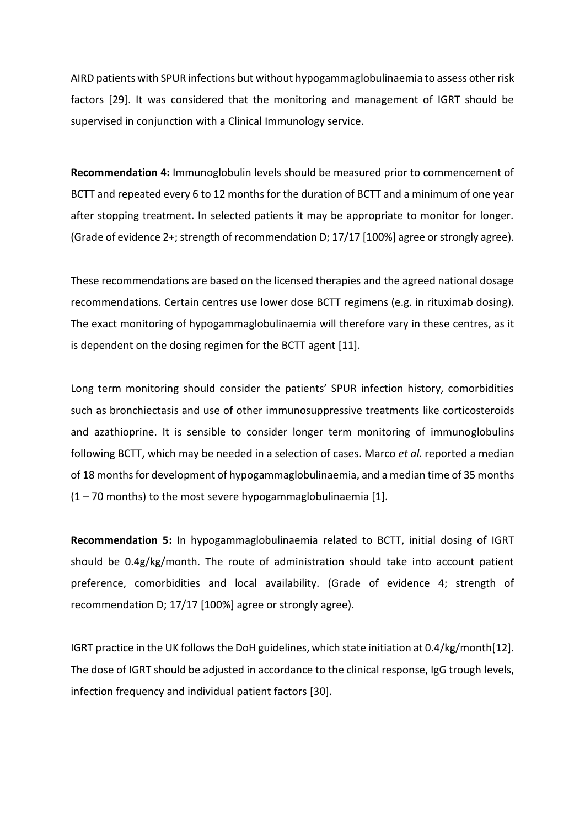AIRD patients with SPUR infections but without hypogammaglobulinaemia to assess other risk factors [29]. It was considered that the monitoring and management of IGRT should be supervised in conjunction with a Clinical Immunology service.

**Recommendation 4:** Immunoglobulin levels should be measured prior to commencement of BCTT and repeated every 6 to 12 months for the duration of BCTT and a minimum of one year after stopping treatment. In selected patients it may be appropriate to monitor for longer. (Grade of evidence 2+; strength of recommendation D; 17/17 [100%] agree or strongly agree).

These recommendations are based on the licensed therapies and the agreed national dosage recommendations. Certain centres use lower dose BCTT regimens (e.g. in rituximab dosing). The exact monitoring of hypogammaglobulinaemia will therefore vary in these centres, as it is dependent on the dosing regimen for the BCTT agent [11].

Long term monitoring should consider the patients' SPUR infection history, comorbidities such as bronchiectasis and use of other immunosuppressive treatments like corticosteroids and azathioprine. It is sensible to consider longer term monitoring of immunoglobulins following BCTT, which may be needed in a selection of cases. Marco *et al.* reported a median of 18 months for development of hypogammaglobulinaemia, and a median time of 35 months  $(1 - 70$  months) to the most severe hypogammaglobulinaemia [1].

**Recommendation 5:** In hypogammaglobulinaemia related to BCTT, initial dosing of IGRT should be 0.4g/kg/month. The route of administration should take into account patient preference, comorbidities and local availability. (Grade of evidence 4; strength of recommendation D; 17/17 [100%] agree or strongly agree).

IGRT practice in the UK follows the DoH guidelines, which state initiation at 0.4/kg/month[12]. The dose of IGRT should be adjusted in accordance to the clinical response, IgG trough levels, infection frequency and individual patient factors [30].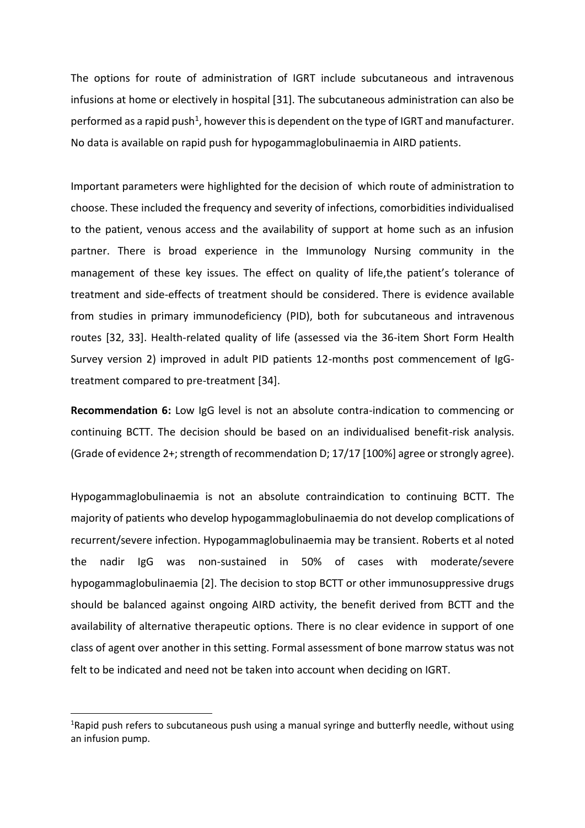The options for route of administration of IGRT include subcutaneous and intravenous infusions at home or electively in hospital [31]. The subcutaneous administration can also be performed as a rapid push<sup>1</sup>, however this is dependent on the type of IGRT and manufacturer. No data is available on rapid push for hypogammaglobulinaemia in AIRD patients.

Important parameters were highlighted for the decision of which route of administration to choose. These included the frequency and severity of infections, comorbidities individualised to the patient, venous access and the availability of support at home such as an infusion partner. There is broad experience in the Immunology Nursing community in the management of these key issues. The effect on quality of life,the patient's tolerance of treatment and side-effects of treatment should be considered. There is evidence available from studies in primary immunodeficiency (PID), both for subcutaneous and intravenous routes [32, 33]. Health-related quality of life (assessed via the 36-item Short Form Health Survey version 2) improved in adult PID patients 12-months post commencement of IgGtreatment compared to pre-treatment [34].

**Recommendation 6:** Low IgG level is not an absolute contra-indication to commencing or continuing BCTT. The decision should be based on an individualised benefit-risk analysis. (Grade of evidence 2+; strength of recommendation D; 17/17 [100%] agree or strongly agree).

Hypogammaglobulinaemia is not an absolute contraindication to continuing BCTT. The majority of patients who develop hypogammaglobulinaemia do not develop complications of recurrent/severe infection. Hypogammaglobulinaemia may be transient. Roberts et al noted the nadir IgG was non-sustained in 50% of cases with moderate/severe hypogammaglobulinaemia [2]. The decision to stop BCTT or other immunosuppressive drugs should be balanced against ongoing AIRD activity, the benefit derived from BCTT and the availability of alternative therapeutic options. There is no clear evidence in support of one class of agent over another in this setting. Formal assessment of bone marrow status was not felt to be indicated and need not be taken into account when deciding on IGRT.

1

<sup>&</sup>lt;sup>1</sup>Rapid push refers to subcutaneous push using a manual syringe and butterfly needle, without using an infusion pump.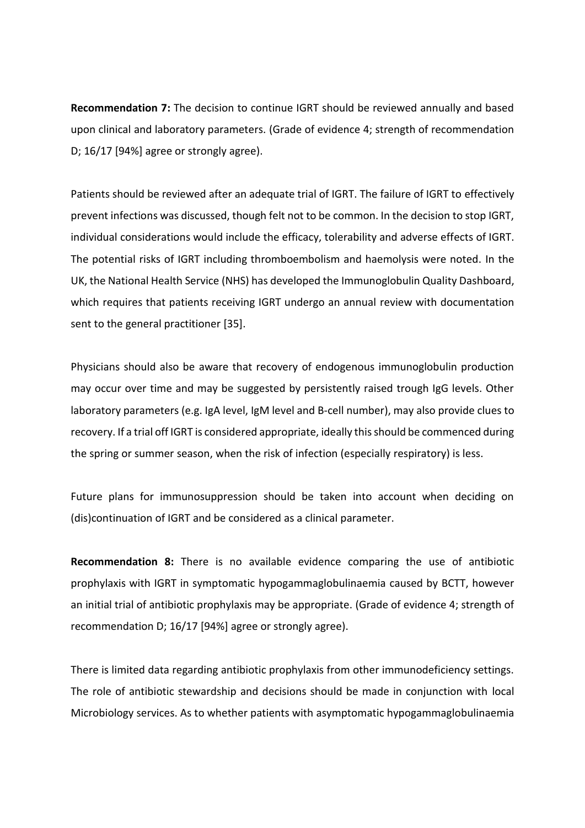**Recommendation 7:** The decision to continue IGRT should be reviewed annually and based upon clinical and laboratory parameters. (Grade of evidence 4; strength of recommendation D; 16/17 [94%] agree or strongly agree).

Patients should be reviewed after an adequate trial of IGRT. The failure of IGRT to effectively prevent infections was discussed, though felt not to be common. In the decision to stop IGRT, individual considerations would include the efficacy, tolerability and adverse effects of IGRT. The potential risks of IGRT including thromboembolism and haemolysis were noted. In the UK, the National Health Service (NHS) has developed the Immunoglobulin Quality Dashboard, which requires that patients receiving IGRT undergo an annual review with documentation sent to the general practitioner [35].

Physicians should also be aware that recovery of endogenous immunoglobulin production may occur over time and may be suggested by persistently raised trough IgG levels. Other laboratory parameters (e.g. IgA level, IgM level and B-cell number), may also provide clues to recovery. If a trial off IGRT is considered appropriate, ideally this should be commenced during the spring or summer season, when the risk of infection (especially respiratory) is less.

Future plans for immunosuppression should be taken into account when deciding on (dis)continuation of IGRT and be considered as a clinical parameter.

**Recommendation 8:** There is no available evidence comparing the use of antibiotic prophylaxis with IGRT in symptomatic hypogammaglobulinaemia caused by BCTT, however an initial trial of antibiotic prophylaxis may be appropriate. (Grade of evidence 4; strength of recommendation D; 16/17 [94%] agree or strongly agree).

There is limited data regarding antibiotic prophylaxis from other immunodeficiency settings. The role of antibiotic stewardship and decisions should be made in conjunction with local Microbiology services. As to whether patients with asymptomatic hypogammaglobulinaemia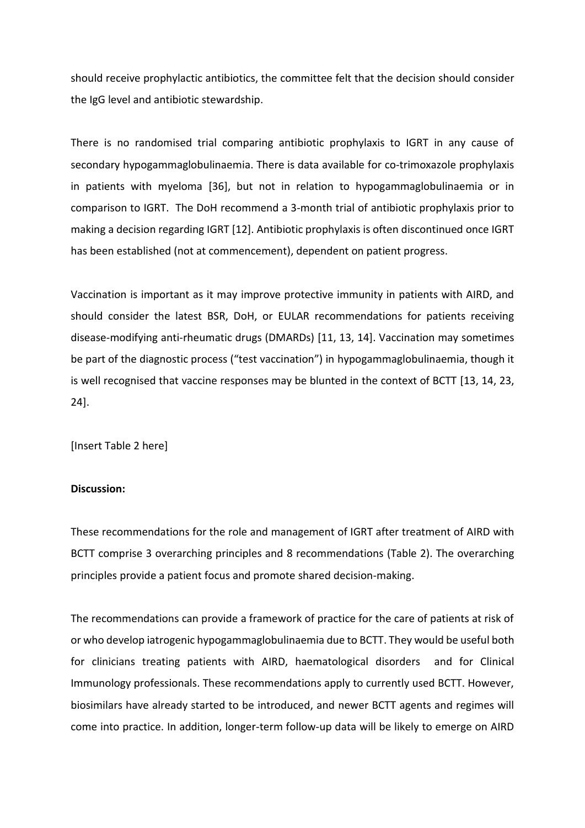should receive prophylactic antibiotics, the committee felt that the decision should consider the IgG level and antibiotic stewardship.

There is no randomised trial comparing antibiotic prophylaxis to IGRT in any cause of secondary hypogammaglobulinaemia. There is data available for co-trimoxazole prophylaxis in patients with myeloma [36], but not in relation to hypogammaglobulinaemia or in comparison to IGRT. The DoH recommend a 3-month trial of antibiotic prophylaxis prior to making a decision regarding IGRT [12]. Antibiotic prophylaxis is often discontinued once IGRT has been established (not at commencement), dependent on patient progress.

Vaccination is important as it may improve protective immunity in patients with AIRD, and should consider the latest BSR, DoH, or EULAR recommendations for patients receiving disease-modifying anti-rheumatic drugs (DMARDs) [11, 13, 14]. Vaccination may sometimes be part of the diagnostic process ("test vaccination") in hypogammaglobulinaemia, though it is well recognised that vaccine responses may be blunted in the context of BCTT [13, 14, 23, 24].

[Insert Table 2 here]

## **Discussion:**

These recommendations for the role and management of IGRT after treatment of AIRD with BCTT comprise 3 overarching principles and 8 recommendations (Table 2). The overarching principles provide a patient focus and promote shared decision-making.

The recommendations can provide a framework of practice for the care of patients at risk of or who develop iatrogenic hypogammaglobulinaemia due to BCTT. They would be useful both for clinicians treating patients with AIRD, haematological disorders and for Clinical Immunology professionals. These recommendations apply to currently used BCTT. However, biosimilars have already started to be introduced, and newer BCTT agents and regimes will come into practice. In addition, longer-term follow-up data will be likely to emerge on AIRD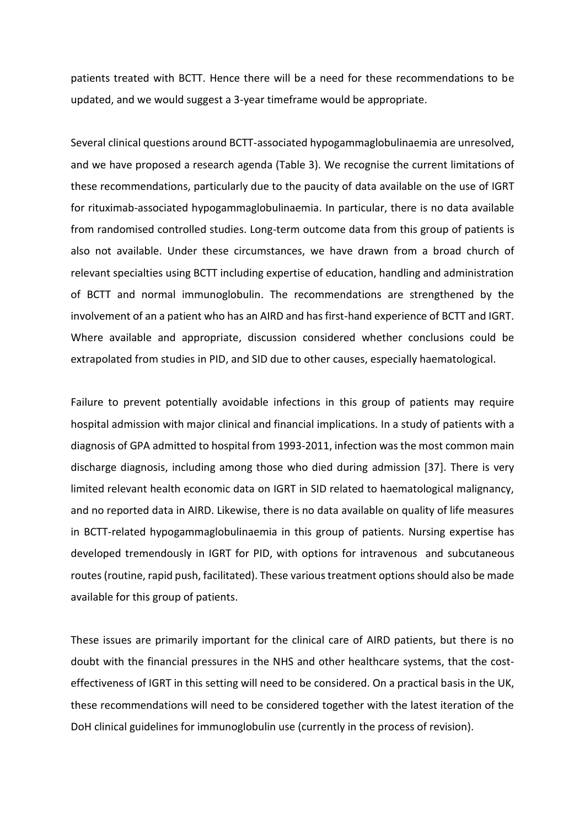patients treated with BCTT. Hence there will be a need for these recommendations to be updated, and we would suggest a 3-year timeframe would be appropriate.

Several clinical questions around BCTT-associated hypogammaglobulinaemia are unresolved, and we have proposed a research agenda (Table 3). We recognise the current limitations of these recommendations, particularly due to the paucity of data available on the use of IGRT for rituximab-associated hypogammaglobulinaemia. In particular, there is no data available from randomised controlled studies. Long-term outcome data from this group of patients is also not available. Under these circumstances, we have drawn from a broad church of relevant specialties using BCTT including expertise of education, handling and administration of BCTT and normal immunoglobulin. The recommendations are strengthened by the involvement of an a patient who has an AIRD and has first-hand experience of BCTT and IGRT. Where available and appropriate, discussion considered whether conclusions could be extrapolated from studies in PID, and SID due to other causes, especially haematological.

Failure to prevent potentially avoidable infections in this group of patients may require hospital admission with major clinical and financial implications. In a study of patients with a diagnosis of GPA admitted to hospital from 1993-2011, infection was the most common main discharge diagnosis, including among those who died during admission [37]. There is very limited relevant health economic data on IGRT in SID related to haematological malignancy, and no reported data in AIRD. Likewise, there is no data available on quality of life measures in BCTT-related hypogammaglobulinaemia in this group of patients. Nursing expertise has developed tremendously in IGRT for PID, with options for intravenous and subcutaneous routes(routine, rapid push, facilitated). These various treatment options should also be made available for this group of patients.

These issues are primarily important for the clinical care of AIRD patients, but there is no doubt with the financial pressures in the NHS and other healthcare systems, that the costeffectiveness of IGRT in this setting will need to be considered. On a practical basis in the UK, these recommendations will need to be considered together with the latest iteration of the DoH clinical guidelines for immunoglobulin use (currently in the process of revision).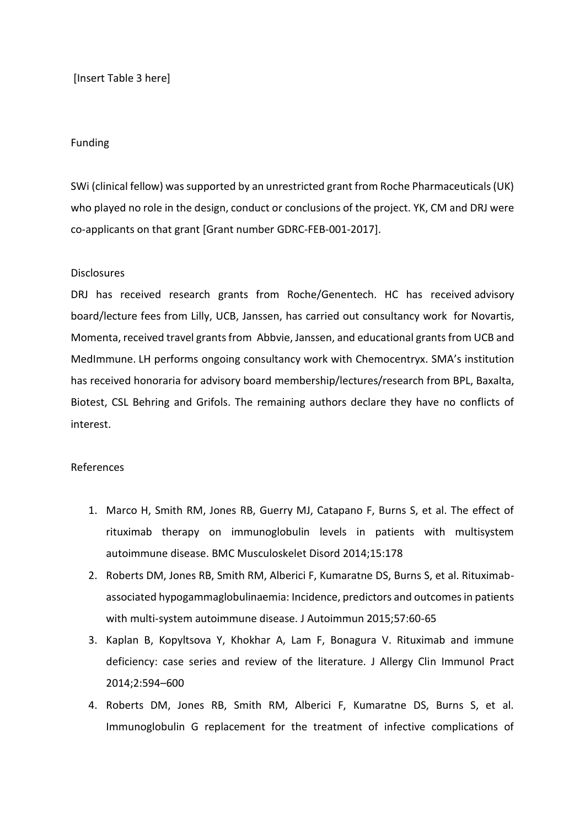[Insert Table 3 here]

## Funding

SWi (clinical fellow) was supported by an unrestricted grant from Roche Pharmaceuticals (UK) who played no role in the design, conduct or conclusions of the project. YK, CM and DRJ were co-applicants on that grant [Grant number GDRC-FEB-001-2017].

## **Disclosures**

DRJ has received research grants from Roche/Genentech. HC has received advisory board/lecture fees from Lilly, UCB, Janssen, has carried out consultancy work for Novartis, Momenta, received travel grants from Abbvie, Janssen, and educational grants from UCB and MedImmune. LH performs ongoing consultancy work with Chemocentryx. SMA's institution has received honoraria for advisory board membership/lectures/research from BPL, Baxalta, Biotest, CSL Behring and Grifols. The remaining authors declare they have no conflicts of interest.

## References

- 1. Marco H, Smith RM, Jones RB, Guerry MJ, Catapano F, Burns S, et al. The effect of rituximab therapy on immunoglobulin levels in patients with multisystem autoimmune disease. BMC Musculoskelet Disord 2014;15:178
- 2. Roberts DM, Jones RB, Smith RM, Alberici F, Kumaratne DS, Burns S, et al. Rituximabassociated hypogammaglobulinaemia: Incidence, predictors and outcomes in patients with multi-system autoimmune disease. J Autoimmun 2015;57:60-65
- 3. Kaplan B, Kopyltsova Y, Khokhar A, Lam F, Bonagura V. Rituximab and immune deficiency: case series and review of the literature. J Allergy Clin Immunol Pract 2014;2:594–600
- 4. Roberts DM, Jones RB, Smith RM, Alberici F, Kumaratne DS, Burns S, et al. Immunoglobulin G replacement for the treatment of infective complications of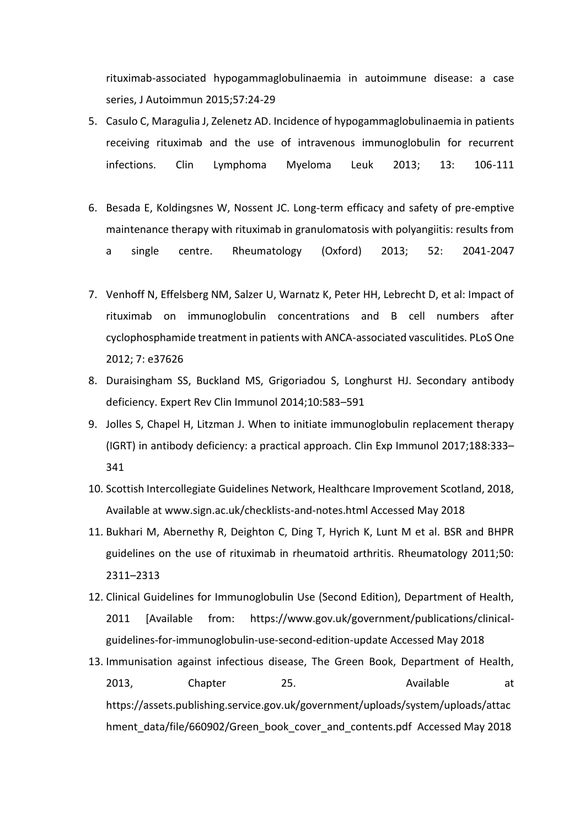rituximab-associated hypogammaglobulinaemia in autoimmune disease: a case series, J Autoimmun 2015;57:24-29

- 5. Casulo C, Maragulia J, Zelenetz AD. Incidence of hypogammaglobulinaemia in patients receiving rituximab and the use of intravenous immunoglobulin for recurrent infections. Clin Lymphoma Myeloma Leuk 2013; 13: 106-111
- 6. Besada E, Koldingsnes W, Nossent JC. Long-term efficacy and safety of pre-emptive maintenance therapy with rituximab in granulomatosis with polyangiitis: results from a single centre. Rheumatology (Oxford) 2013; 52: 2041-2047
- 7. Venhoff N, Effelsberg NM, Salzer U, Warnatz K, Peter HH, Lebrecht D, et al: Impact of rituximab on immunoglobulin concentrations and B cell numbers after cyclophosphamide treatment in patients with ANCA-associated vasculitides. PLoS One 2012; 7: e37626
- 8. Duraisingham SS, Buckland MS, Grigoriadou S, Longhurst HJ. Secondary antibody deficiency. Expert Rev Clin Immunol 2014;10:583–591
- 9. Jolles S, Chapel H, Litzman J. When to initiate immunoglobulin replacement therapy (IGRT) in antibody deficiency: a practical approach. Clin Exp Immunol 2017;188:333– 341
- 10. Scottish Intercollegiate Guidelines Network, Healthcare Improvement Scotland, 2018, Available at [www.sign.ac.uk/checklists-and-notes.html Accessed May 2018](http://www.sign.ac.uk/checklists-and-notes.html%20Accessed%20May%202018)
- 11. Bukhari M, Abernethy R, Deighton C, Ding T, Hyrich K, Lunt M et al. BSR and BHPR guidelines on the use of rituximab in rheumatoid arthritis. Rheumatology 2011;50: 2311–2313
- 12. Clinical Guidelines for Immunoglobulin Use (Second Edition), Department of Health, 2011 [Available from: [https://www.gov.uk/government/publications/clinical](https://www.gov.uk/government/publications/clinical-guidelines-for-immunoglobulin-use-second-edition-update%20Accessed%20May%202018)[guidelines-for-immunoglobulin-use-second-edition-update Accessed May 2018](https://www.gov.uk/government/publications/clinical-guidelines-for-immunoglobulin-use-second-edition-update%20Accessed%20May%202018)
- 13. Immunisation against infectious disease, The Green Book, Department of Health, 2013, Chapter 25. Available at [https://assets.publishing.service.gov.uk/government/uploads/system/uploads/attac](https://assets.publishing.service.gov.uk/government/uploads/system/uploads/attachment_data/file/660902/Green_book_cover_and_contents.pdf) [hment\\_data/file/660902/Green\\_book\\_cover\\_and\\_contents.pdf](https://assets.publishing.service.gov.uk/government/uploads/system/uploads/attachment_data/file/660902/Green_book_cover_and_contents.pdf) Accessed May 2018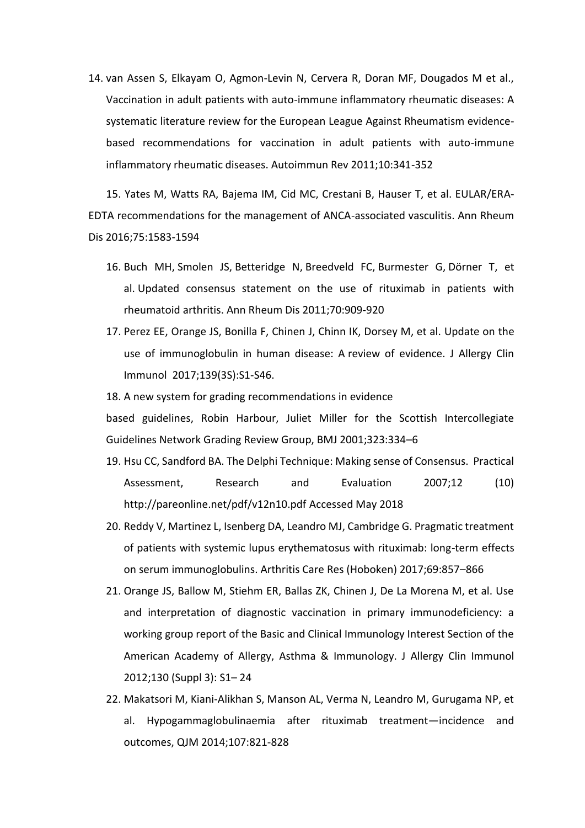14. van Assen S, Elkayam O, Agmon-Levin N, Cervera R, Doran MF, Dougados M et al., Vaccination in adult patients with auto-immune inflammatory rheumatic diseases: A systematic literature review for the European League Against Rheumatism evidencebased recommendations for vaccination in adult patients with auto-immune inflammatory rheumatic diseases. Autoimmun Rev 2011;10:341-352

15. Yates M, Watts RA, Bajema IM, Cid MC, Crestani B, Hauser T, et al. EULAR/ERA-EDTA recommendations for the management of ANCA-associated vasculitis. Ann Rheum Dis 2016;75:1583-1594

- 16. [Buch MH,](https://www.ncbi.nlm.nih.gov/pubmed/?term=Buch%20MH%5BAuthor%5D&cauthor=true&cauthor_uid=21378402) [Smolen JS,](https://www.ncbi.nlm.nih.gov/pubmed/?term=Smolen%20JS%5BAuthor%5D&cauthor=true&cauthor_uid=21378402) [Betteridge N,](https://www.ncbi.nlm.nih.gov/pubmed/?term=Betteridge%20N%5BAuthor%5D&cauthor=true&cauthor_uid=21378402) [Breedveld FC,](https://www.ncbi.nlm.nih.gov/pubmed/?term=Breedveld%20FC%5BAuthor%5D&cauthor=true&cauthor_uid=21378402) [Burmester G,](https://www.ncbi.nlm.nih.gov/pubmed/?term=Burmester%20G%5BAuthor%5D&cauthor=true&cauthor_uid=21378402) [Dörner T,](https://www.ncbi.nlm.nih.gov/pubmed/?term=D%C3%B6rner%20T%5BAuthor%5D&cauthor=true&cauthor_uid=21378402) et al. Updated consensus statement on the use of rituximab in patients with rheumatoid arthritis. [Ann Rheum Dis](https://www.ncbi.nlm.nih.gov/pubmed/21378402) 2011;70:909-920
- 17. [Perez EE,](https://www.ncbi.nlm.nih.gov/pubmed/?term=Perez%20EE%5BAuthor%5D&cauthor=true&cauthor_uid=28041678) [Orange JS,](https://www.ncbi.nlm.nih.gov/pubmed/?term=Orange%20JS%5BAuthor%5D&cauthor=true&cauthor_uid=28041678) [Bonilla F,](https://www.ncbi.nlm.nih.gov/pubmed/?term=Bonilla%20F%5BAuthor%5D&cauthor=true&cauthor_uid=28041678) [Chinen J,](https://www.ncbi.nlm.nih.gov/pubmed/?term=Chinen%20J%5BAuthor%5D&cauthor=true&cauthor_uid=28041678) [Chinn IK,](https://www.ncbi.nlm.nih.gov/pubmed/?term=Chinn%20IK%5BAuthor%5D&cauthor=true&cauthor_uid=28041678) [Dorsey M,](https://www.ncbi.nlm.nih.gov/pubmed/?term=Dorsey%20M%5BAuthor%5D&cauthor=true&cauthor_uid=28041678) et al. Update on the use of immunoglobulin in human disease: A review of evidence. [J Allergy Clin](https://www.ncbi.nlm.nih.gov/pubmed/28041678)  [Immunol 2](https://www.ncbi.nlm.nih.gov/pubmed/28041678)017;139(3S):S1-S46.
- 18. A new system for grading recommendations in evidence

based guidelines, Robin Harbour, Juliet Miller for the Scottish Intercollegiate Guidelines Network Grading Review Group, BMJ 2001;323:334–6

- 19. Hsu CC, Sandford BA. The Delphi Technique: Making sense of Consensus. Practical Assessment, Research and Evaluation 2007;12 (10) <http://pareonline.net/pdf/v12n10.pdf> Accessed May 2018
- 20. Reddy V, Martinez L, Isenberg DA, Leandro MJ, Cambridge G. Pragmatic treatment of patients with systemic lupus erythematosus with rituximab: long-term effects on serum immunoglobulins. Arthritis Care Res (Hoboken) 2017;69:857–866
- 21. Orange JS, Ballow M, Stiehm ER, Ballas ZK, Chinen J, De La Morena M, et al. Use and interpretation of diagnostic vaccination in primary immunodeficiency: a working group report of the Basic and Clinical Immunology Interest Section of the American Academy of Allergy, Asthma & Immunology. J Allergy Clin Immunol 2012;130 (Suppl 3): S1– 24
- 22. Makatsori M, Kiani-Alikhan S, Manson AL, Verma N, Leandro M, Gurugama NP, et al. Hypogammaglobulinaemia after rituximab treatment—incidence and outcomes, QJM 2014;107:821-828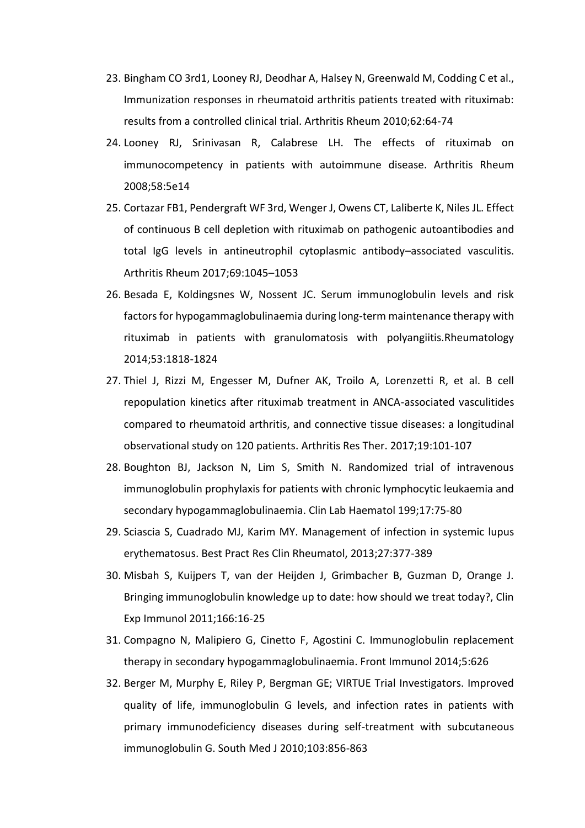- 23. Bingham CO 3rd1, Looney RJ, Deodhar A, Halsey N, Greenwald M, Codding C et al., Immunization responses in rheumatoid arthritis patients treated with rituximab: results from a controlled clinical trial. Arthritis Rheum 2010;62:64-74
- 24. Looney RJ, Srinivasan R, Calabrese LH. The effects of rituximab on immunocompetency in patients with autoimmune disease. Arthritis Rheum 2008;58:5e14
- 25. Cortazar FB1, Pendergraft WF 3rd, Wenger J, Owens CT, Laliberte K, Niles JL. Effect of continuous B cell depletion with rituximab on pathogenic autoantibodies and total IgG levels in antineutrophil cytoplasmic antibody–associated vasculitis. Arthritis Rheum 2017;69:1045–1053
- 26. Besada E, Koldingsnes W, Nossent JC. Serum immunoglobulin levels and risk factors for hypogammaglobulinaemia during long-term maintenance therapy with rituximab in patients with granulomatosis with polyangiitis.Rheumatology 2014;53:1818-1824
- 27. [Thiel J,](https://www.ncbi.nlm.nih.gov/pubmed/?term=Thiel%20J%5BAuthor%5D&cauthor=true&cauthor_uid=28521808) [Rizzi M,](https://www.ncbi.nlm.nih.gov/pubmed/?term=Rizzi%20M%5BAuthor%5D&cauthor=true&cauthor_uid=28521808) [Engesser M,](https://www.ncbi.nlm.nih.gov/pubmed/?term=Engesser%20M%5BAuthor%5D&cauthor=true&cauthor_uid=28521808) [Dufner AK,](https://www.ncbi.nlm.nih.gov/pubmed/?term=Dufner%20AK%5BAuthor%5D&cauthor=true&cauthor_uid=28521808) [Troilo A,](https://www.ncbi.nlm.nih.gov/pubmed/?term=Troilo%20A%5BAuthor%5D&cauthor=true&cauthor_uid=28521808) [Lorenzetti R,](https://www.ncbi.nlm.nih.gov/pubmed/?term=Lorenzetti%20R%5BAuthor%5D&cauthor=true&cauthor_uid=28521808) et al. B cell repopulation kinetics after rituximab treatment in ANCA-associated vasculitides compared to rheumatoid arthritis, and connective tissue diseases: a longitudinal observational study on 120 patients. [Arthritis Res Ther.](https://www.ncbi.nlm.nih.gov/pubmed/28521808) 2017;19:101-107
- 28. Boughton BJ, Jackson N, Lim S, Smith N. Randomized trial of intravenous immunoglobulin prophylaxis for patients with chronic lymphocytic leukaemia and secondary hypogammaglobulinaemia. Clin Lab Haematol 199;17:75-80
- 29. Sciascia S, Cuadrado MJ, Karim MY. Management of infection in systemic lupus erythematosus. Best Pract Res Clin Rheumatol, 2013;27:377-389
- 30. Misbah S, Kuijpers T, van der Heijden J, Grimbacher B, Guzman D, Orange J. Bringing immunoglobulin knowledge up to date: how should we treat today?, Clin Exp Immunol 2011;166:16-25
- 31. Compagno N, Malipiero G, Cinetto F, Agostini C. Immunoglobulin replacement therapy in secondary hypogammaglobulinaemia. Front Immunol 2014;5:626
- 32. Berger M, Murphy E, Riley P, Bergman GE; VIRTUE Trial Investigators. Improved quality of life, immunoglobulin G levels, and infection rates in patients with primary immunodeficiency diseases during self-treatment with subcutaneous immunoglobulin G. South Med J 2010;103:856-863